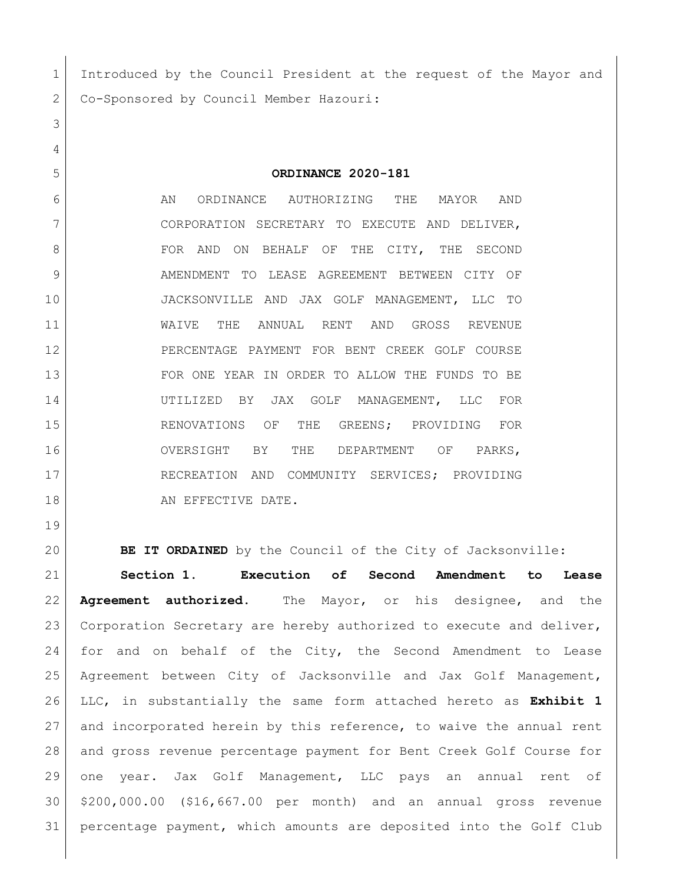1 Introduced by the Council President at the request of the Mayor and Co-Sponsored by Council Member Hazouri:

**ORDINANCE 2020-181**

 AN ORDINANCE AUTHORIZING THE MAYOR AND 7 CORPORATION SECRETARY TO EXECUTE AND DELIVER, FOR AND ON BEHALF OF THE CITY, THE SECOND 9 AMENDMENT TO LEASE AGREEMENT BETWEEN CITY OF JACKSONVILLE AND JAX GOLF MANAGEMENT, LLC TO WAIVE THE ANNUAL RENT AND GROSS REVENUE PERCENTAGE PAYMENT FOR BENT CREEK GOLF COURSE FOR ONE YEAR IN ORDER TO ALLOW THE FUNDS TO BE UTILIZED BY JAX GOLF MANAGEMENT, LLC FOR 15 RENOVATIONS OF THE GREENS; PROVIDING FOR OVERSIGHT BY THE DEPARTMENT OF PARKS, 17 RECREATION AND COMMUNITY SERVICES; PROVIDING 18 an EFFECTIVE DATE.

**BE IT ORDAINED** by the Council of the City of Jacksonville:

 **Section 1. Execution of Second Amendment to Lease Agreement authorized**. The Mayor, or his designee, and the 23 Corporation Secretary are hereby authorized to execute and deliver, 24 for and on behalf of the City, the Second Amendment to Lease Agreement between City of Jacksonville and Jax Golf Management, LLC, in substantially the same form attached hereto as **Exhibit 1** and incorporated herein by this reference, to waive the annual rent and gross revenue percentage payment for Bent Creek Golf Course for one year. Jax Golf Management, LLC pays an annual rent of \$200,000.00 (\$16,667.00 per month) and an annual gross revenue percentage payment, which amounts are deposited into the Golf Club